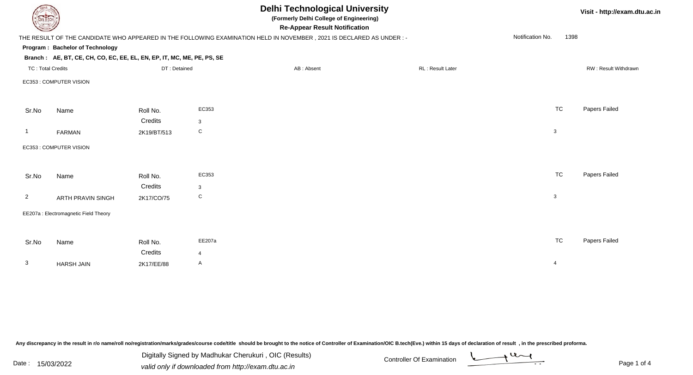| DEL TECH                 |                                                                        |              |                | <b>Delhi Technological University</b><br>(Formerly Delhi College of Engineering)<br><b>Re-Appear Result Notification</b> |                  |                          | Visit - http://exam.dtu.ac.in |
|--------------------------|------------------------------------------------------------------------|--------------|----------------|--------------------------------------------------------------------------------------------------------------------------|------------------|--------------------------|-------------------------------|
|                          |                                                                        |              |                | THE RESULT OF THE CANDIDATE WHO APPEARED IN THE FOLLOWING EXAMINATION HELD IN NOVEMBER, 2021 IS DECLARED AS UNDER :-     |                  | Notification No.<br>1398 |                               |
|                          | Program: Bachelor of Technology                                        |              |                |                                                                                                                          |                  |                          |                               |
|                          | Branch: AE, BT, CE, CH, CO, EC, EE, EL, EN, EP, IT, MC, ME, PE, PS, SE |              |                |                                                                                                                          |                  |                          |                               |
| <b>TC: Total Credits</b> |                                                                        | DT: Detained |                | AB: Absent                                                                                                               | RL: Result Later |                          | RW: Result Withdrawn          |
|                          | EC353 : COMPUTER VISION                                                |              |                |                                                                                                                          |                  |                          |                               |
|                          |                                                                        |              |                |                                                                                                                          |                  |                          |                               |
| Sr.No                    | Name                                                                   | Roll No.     | EC353          |                                                                                                                          |                  | <b>TC</b>                | Papers Failed                 |
|                          |                                                                        | Credits      | $\mathbf{3}$   |                                                                                                                          |                  |                          |                               |
| $\overline{1}$           | FARMAN                                                                 | 2K19/BT/513  | ${\rm C}$      |                                                                                                                          |                  | $\mathbf{3}$             |                               |
|                          | EC353 : COMPUTER VISION                                                |              |                |                                                                                                                          |                  |                          |                               |
|                          |                                                                        |              |                |                                                                                                                          |                  |                          |                               |
| Sr.No                    | Name                                                                   | Roll No.     | EC353          |                                                                                                                          |                  | <b>TC</b>                | Papers Failed                 |
|                          |                                                                        | Credits      | 3              |                                                                                                                          |                  |                          |                               |
| $\overline{2}$           | <b>ARTH PRAVIN SINGH</b>                                               | 2K17/CO/75   | C              |                                                                                                                          |                  | 3                        |                               |
|                          | EE207a : Electromagnetic Field Theory                                  |              |                |                                                                                                                          |                  |                          |                               |
|                          |                                                                        |              |                |                                                                                                                          |                  |                          |                               |
| Sr.No                    | Name                                                                   | Roll No.     | EE207a         |                                                                                                                          |                  | <b>TC</b>                | Papers Failed                 |
|                          |                                                                        | Credits      | $\overline{4}$ |                                                                                                                          |                  |                          |                               |
| $\mathbf{3}$             | <b>HARSH JAIN</b>                                                      | 2K17/EE/88   | A              |                                                                                                                          |                  | $\overline{4}$           |                               |
|                          |                                                                        |              |                |                                                                                                                          |                  |                          |                               |

Any discrepancy in the result in r/o name/roll no/registration/marks/grades/course code/title should be brought to the notice of Controller of Examination/OIC B.tech(Eve.) within 15 days of declaration of result ,in the p

Digitally Signed by Madhukar Cherukuri, OIC (Results)<br>Date : 15/03/2022 valid only if downloaded from http://oxam.dtu.ac.in Digitally Signed by Madhukar Cherukuri , OIC (Results)valid only if downloaded from http://exam.dtu.ac.in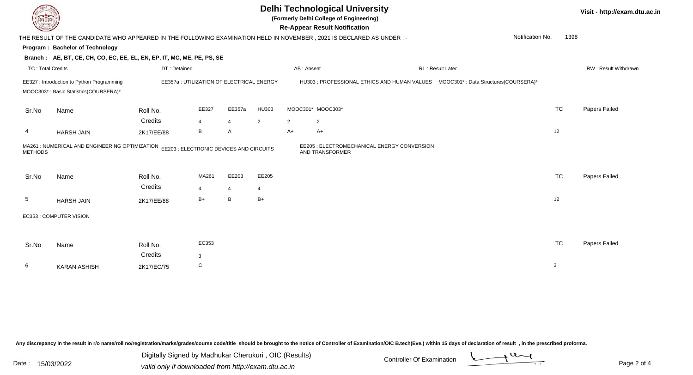

## **Delhi Technological University**

**(Formerly Delhi College of Engineering)**

**Re-Appear Result Notification**

**Visit - http://exam.dtu.ac.in**

| <b>Courses Lines</b>     |                                                                                                                      |                                           |            |                |                |                | <b>Re-Appear Result Notification</b>                           |                  |                                                                                     |           |                             |
|--------------------------|----------------------------------------------------------------------------------------------------------------------|-------------------------------------------|------------|----------------|----------------|----------------|----------------------------------------------------------------|------------------|-------------------------------------------------------------------------------------|-----------|-----------------------------|
|                          | THE RESULT OF THE CANDIDATE WHO APPEARED IN THE FOLLOWING EXAMINATION HELD IN NOVEMBER, 2021 IS DECLARED AS UNDER :- |                                           |            |                |                |                |                                                                |                  | Notification No.                                                                    | 1398      |                             |
|                          | Program: Bachelor of Technology                                                                                      |                                           |            |                |                |                |                                                                |                  |                                                                                     |           |                             |
|                          | Branch: AE, BT, CE, CH, CO, EC, EE, EL, EN, EP, IT, MC, ME, PE, PS, SE                                               |                                           |            |                |                |                |                                                                |                  |                                                                                     |           |                             |
| <b>TC: Total Credits</b> |                                                                                                                      | DT: Detained                              |            |                |                | AB: Absent     |                                                                | RL: Result Later |                                                                                     |           | <b>RW: Result Withdrawr</b> |
|                          | EE327 : Introduction to Python Programming<br>MOOC303*: Basic Statistics(COURSERA)*                                  | EE357a : UTILIZATION OF ELECTRICAL ENERGY |            |                |                |                |                                                                |                  | HU303 : PROFESSIONAL ETHICS AND HUMAN VALUES  MOOC301* : Data Structures(COURSERA)* |           |                             |
| Sr.No                    | Name                                                                                                                 | Roll No.                                  | EE327      | EE357a         | HU303          |                | MOOC301* MOOC303*                                              |                  |                                                                                     | <b>TC</b> | Papers Failed               |
|                          |                                                                                                                      | Credits                                   | 4          | $\overline{4}$ | $\overline{2}$ | $\overline{2}$ | $\overline{c}$                                                 |                  |                                                                                     |           |                             |
| 4                        | <b>HARSH JAIN</b>                                                                                                    | 2K17/EE/88                                | B          | A              |                | $A+$           | $A+$                                                           |                  |                                                                                     | 12        |                             |
| <b>METHODS</b>           | MA261 : NUMERICAL AND ENGINEERING OPTIMIZATION                                                                       | EE203 : ELECTRONIC DEVICES AND CIRCUITS   |            |                |                |                | EE205 : ELECTROMECHANICAL ENERGY CONVERSION<br>AND TRANSFORMER |                  |                                                                                     |           |                             |
| Sr.No                    | Name                                                                                                                 | Roll No.<br>Credits                       | MA261<br>4 | EE203<br>4     | EE205<br>4     |                |                                                                |                  |                                                                                     | <b>TC</b> | Papers Failed               |
| 5                        | <b>HARSH JAIN</b>                                                                                                    | 2K17/EE/88                                | $B+$       | B              | $B+$           |                |                                                                |                  |                                                                                     | 12        |                             |
|                          | EC353 : COMPUTER VISION                                                                                              |                                           |            |                |                |                |                                                                |                  |                                                                                     |           |                             |
| Sr.No                    | Name                                                                                                                 | Roll No.<br>Credits                       | EC353<br>3 |                |                |                |                                                                |                  |                                                                                     | <b>TC</b> | Papers Failed               |
| 6                        | <b>KARAN ASHISH</b>                                                                                                  | 2K17/EC/75                                | C          |                |                |                |                                                                |                  |                                                                                     | 3         |                             |
|                          |                                                                                                                      |                                           |            |                |                |                |                                                                |                  |                                                                                     |           |                             |

Any discrepancy in the result in r/o name/roll no/registration/marks/grades/course code/title should be brought to the notice of Controller of Examination/OIC B.tech(Eve.) within 15 days of declaration of result, in the pr

Date : 15/03/2022<br>
valid only if downloaded from http://exam.dtu.ac.in<br>
Page 2 of Digitally Signed by Madhukar Cherukuri , OIC (Results)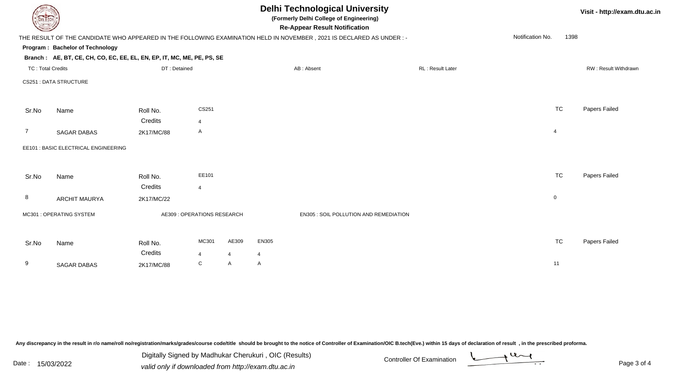| DEL TECH                 |                                                                                                                      |                             |                |                |            | <b>Delhi Technological University</b><br>(Formerly Delhi College of Engineering)<br><b>Re-Appear Result Notification</b> |                  |  |                  | Visit - http://exam.dtu.ac.in |               |
|--------------------------|----------------------------------------------------------------------------------------------------------------------|-----------------------------|----------------|----------------|------------|--------------------------------------------------------------------------------------------------------------------------|------------------|--|------------------|-------------------------------|---------------|
|                          | THE RESULT OF THE CANDIDATE WHO APPEARED IN THE FOLLOWING EXAMINATION HELD IN NOVEMBER, 2021 IS DECLARED AS UNDER :- |                             |                |                |            |                                                                                                                          |                  |  | Notification No. | 1398                          |               |
|                          | Program: Bachelor of Technology                                                                                      |                             |                |                |            |                                                                                                                          |                  |  |                  |                               |               |
|                          | Branch: AE, BT, CE, CH, CO, EC, EE, EL, EN, EP, IT, MC, ME, PE, PS, SE                                               |                             |                |                |            |                                                                                                                          |                  |  |                  |                               |               |
| <b>TC: Total Credits</b> |                                                                                                                      | DT: Detained                |                |                | AB: Absent |                                                                                                                          | RL: Result Later |  |                  | RW: Result Withdrawn          |               |
|                          | <b>CS251: DATA STRUCTURE</b>                                                                                         |                             |                |                |            |                                                                                                                          |                  |  |                  |                               |               |
|                          |                                                                                                                      |                             |                |                |            |                                                                                                                          |                  |  |                  |                               |               |
| Sr.No                    | Name                                                                                                                 | Roll No.                    | CS251          |                |            |                                                                                                                          |                  |  |                  | <b>TC</b>                     | Papers Failed |
|                          |                                                                                                                      | Credits                     | $\overline{4}$ |                |            |                                                                                                                          |                  |  |                  |                               |               |
| 7                        | <b>SAGAR DABAS</b>                                                                                                   | 2K17/MC/88                  | Α              |                |            |                                                                                                                          |                  |  |                  | $\overline{4}$                |               |
|                          | EE101 : BASIC ELECTRICAL ENGINEERING                                                                                 |                             |                |                |            |                                                                                                                          |                  |  |                  |                               |               |
|                          |                                                                                                                      |                             |                |                |            |                                                                                                                          |                  |  |                  |                               |               |
| Sr.No                    | Name                                                                                                                 | Roll No.                    | EE101          |                |            |                                                                                                                          |                  |  |                  | <b>TC</b>                     | Papers Failed |
|                          |                                                                                                                      | Credits                     | $\overline{4}$ |                |            |                                                                                                                          |                  |  |                  |                               |               |
| 8                        | <b>ARCHIT MAURYA</b>                                                                                                 | 2K17/MC/22                  |                |                |            |                                                                                                                          |                  |  |                  | $\mathbf 0$                   |               |
|                          | MC301 : OPERATING SYSTEM                                                                                             | AE309 : OPERATIONS RESEARCH |                |                |            | EN305 : SOIL POLLUTION AND REMEDIATION                                                                                   |                  |  |                  |                               |               |
|                          |                                                                                                                      |                             |                |                |            |                                                                                                                          |                  |  |                  |                               |               |
|                          |                                                                                                                      |                             |                |                |            |                                                                                                                          |                  |  |                  |                               |               |
| Sr.No                    | Name                                                                                                                 | Roll No.                    | MC301          | AE309          | EN305      |                                                                                                                          |                  |  |                  | <b>TC</b>                     | Papers Failed |
|                          |                                                                                                                      | Credits                     | $\overline{4}$ | $\overline{4}$ | 4          |                                                                                                                          |                  |  |                  |                               |               |
| 9                        | <b>SAGAR DABAS</b>                                                                                                   | 2K17/MC/88                  | C              | A              | A          |                                                                                                                          |                  |  |                  | 11                            |               |

Any discrepancy in the result in r/o name/roll no/registration/marks/grades/course code/title should be brought to the notice of Controller of Examination/OIC B.tech(Eve.) within 15 days of declaration of result ,in the p

Digitally Signed by Madhukar Cherukuri, OIC (Results)<br>Date : 15/03/2022 valid only if downloaded from http://oxam.dtu.ac.in Digitally Signed by Madhukar Cherukuri , OIC (Results)valid only if downloaded from http://exam.dtu.ac.in